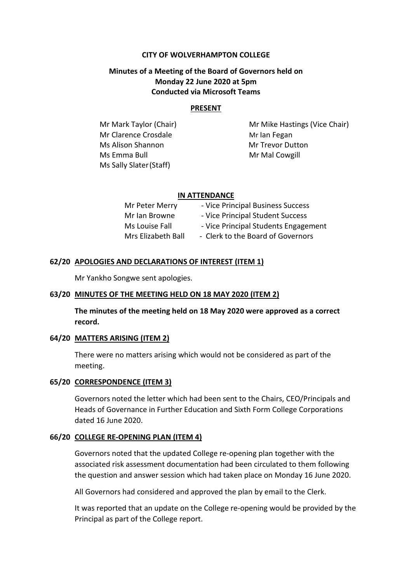#### **CITY OF WOLVERHAMPTON COLLEGE**

## **Minutes of a Meeting of the Board of Governors held on Monday 22 June 2020 at 5pm Conducted via Microsoft Teams**

#### **PRESENT**

Mr Clarence Crosdale Mr Ian Fegan Ms Alison Shannon Mr Trevor Dutton Ms Emma Bull Mr Mal Cowgill Ms Sally Slater(Staff)

Mr Mark Taylor (Chair) Mr Mike Hastings (Vice Chair)

#### **IN ATTENDANCE**

| Mr Peter Merry     | - Vice Principal Business Success    |
|--------------------|--------------------------------------|
| Mr Ian Browne      | - Vice Principal Student Success     |
| Ms Louise Fall     | - Vice Principal Students Engagement |
| Mrs Elizabeth Ball | - Clerk to the Board of Governors    |

#### **62/20 APOLOGIES AND DECLARATIONS OF INTEREST (ITEM 1)**

Mr Yankho Songwe sent apologies.

#### **63/20 MINUTES OF THE MEETING HELD ON 18 MAY 2020 (ITEM 2)**

**The minutes of the meeting held on 18 May 2020 were approved as a correct record.**

### **64/20 MATTERS ARISING (ITEM 2)**

There were no matters arising which would not be considered as part of the meeting.

#### **65/20 CORRESPONDENCE (ITEM 3)**

Governors noted the letter which had been sent to the Chairs, CEO/Principals and Heads of Governance in Further Education and Sixth Form College Corporations dated 16 June 2020.

#### **66/20 COLLEGE RE-OPENING PLAN (ITEM 4)**

Governors noted that the updated College re-opening plan together with the associated risk assessment documentation had been circulated to them following the question and answer session which had taken place on Monday 16 June 2020.

All Governors had considered and approved the plan by email to the Clerk.

It was reported that an update on the College re-opening would be provided by the Principal as part of the College report.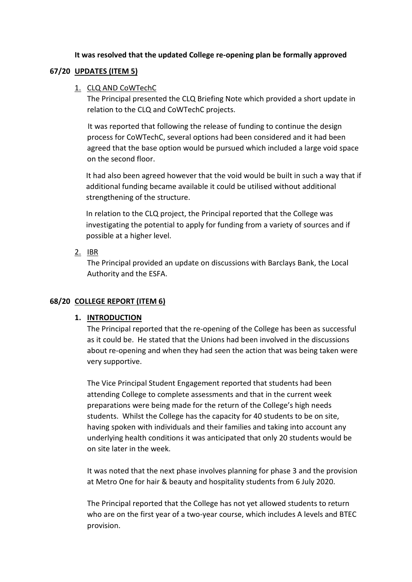### **It was resolved that the updated College re-opening plan be formally approved**

### **67/20 UPDATES (ITEM 5)**

### 1. CLQ AND CoWTechC

The Principal presented the CLQ Briefing Note which provided a short update in relation to the CLQ and CoWTechC projects.

It was reported that following the release of funding to continue the design process for CoWTechC, several options had been considered and it had been agreed that the base option would be pursued which included a large void space on the second floor.

It had also been agreed however that the void would be built in such a way that if additional funding became available it could be utilised without additional strengthening of the structure.

In relation to the CLQ project, the Principal reported that the College was investigating the potential to apply for funding from a variety of sources and if possible at a higher level.

2. IBR

The Principal provided an update on discussions with Barclays Bank, the Local Authority and the ESFA.

## **68/20 COLLEGE REPORT (ITEM 6)**

## **1. INTRODUCTION**

The Principal reported that the re-opening of the College has been as successful as it could be. He stated that the Unions had been involved in the discussions about re-opening and when they had seen the action that was being taken were very supportive.

The Vice Principal Student Engagement reported that students had been attending College to complete assessments and that in the current week preparations were being made for the return of the College's high needs students. Whilst the College has the capacity for 40 students to be on site, having spoken with individuals and their families and taking into account any underlying health conditions it was anticipated that only 20 students would be on site later in the week.

It was noted that the next phase involves planning for phase 3 and the provision at Metro One for hair & beauty and hospitality students from 6 July 2020.

The Principal reported that the College has not yet allowed students to return who are on the first year of a two-year course, which includes A levels and BTEC provision.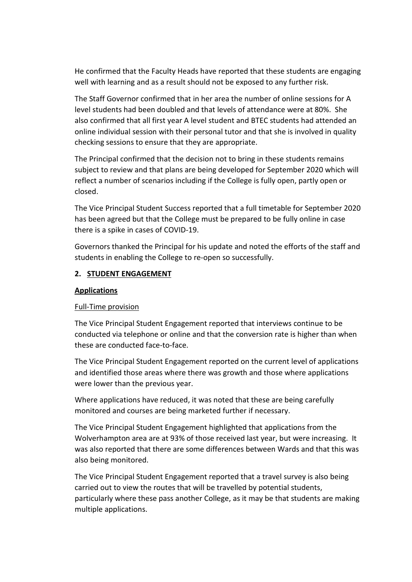He confirmed that the Faculty Heads have reported that these students are engaging well with learning and as a result should not be exposed to any further risk.

The Staff Governor confirmed that in her area the number of online sessions for A level students had been doubled and that levels of attendance were at 80%. She also confirmed that all first year A level student and BTEC students had attended an online individual session with their personal tutor and that she is involved in quality checking sessions to ensure that they are appropriate.

The Principal confirmed that the decision not to bring in these students remains subject to review and that plans are being developed for September 2020 which will reflect a number of scenarios including if the College is fully open, partly open or closed.

The Vice Principal Student Success reported that a full timetable for September 2020 has been agreed but that the College must be prepared to be fully online in case there is a spike in cases of COVID-19.

Governors thanked the Principal for his update and noted the efforts of the staff and students in enabling the College to re-open so successfully.

### **2. STUDENT ENGAGEMENT**

### **Applications**

## Full-Time provision

The Vice Principal Student Engagement reported that interviews continue to be conducted via telephone or online and that the conversion rate is higher than when these are conducted face-to-face.

The Vice Principal Student Engagement reported on the current level of applications and identified those areas where there was growth and those where applications were lower than the previous year.

Where applications have reduced, it was noted that these are being carefully monitored and courses are being marketed further if necessary.

The Vice Principal Student Engagement highlighted that applications from the Wolverhampton area are at 93% of those received last year, but were increasing. It was also reported that there are some differences between Wards and that this was also being monitored.

The Vice Principal Student Engagement reported that a travel survey is also being carried out to view the routes that will be travelled by potential students, particularly where these pass another College, as it may be that students are making multiple applications.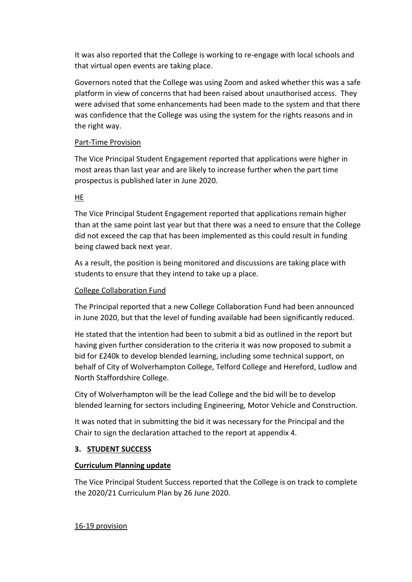It was also reported that the College is working to re-engage with local schools and that virtual open events are taking place.

Governors noted that the College was using Zoom and asked whether this was a safe platform in view of concerns that had been raised about unauthorised access. They were advised that some enhancements had been made to the system and that there was confidence that the College was using the system for the rights reasons and in the right way.

## Part-Time Provision

The Vice Principal Student Engagement reported that applications were higher in most areas than last year and are likely to increase further when the part time prospectus is published later in June 2020.

# HE

The Vice Principal Student Engagement reported that applications remain higher than at the same point last year but that there was a need to ensure that the College did not exceed the cap that has been implemented as this could result in funding being clawed back next year.

As a result, the position is being monitored and discussions are taking place with students to ensure that they intend to take up a place.

## College Collaboration Fund

The Principal reported that a new College Collaboration Fund had been announced in June 2020, but that the level of funding available had been significantly reduced.

He stated that the intention had been to submit a bid as outlined in the report but having given further consideration to the criteria it was now proposed to submit a bid for £240k to develop blended learning, including some technical support, on behalf of City of Wolverhampton College, Telford College and Hereford, Ludlow and North Staffordshire College.

City of Wolverhampton will be the lead College and the bid will be to develop blended learning for sectors including Engineering, Motor Vehicle and Construction.

It was noted that in submitting the bid it was necessary for the Principal and the Chair to sign the declaration attached to the report at appendix 4.

## **3. STUDENT SUCCESS**

## **Curriculum Planning update**

The Vice Principal Student Success reported that the College is on track to complete the 2020/21 Curriculum Plan by 26 June 2020.

16-19 provision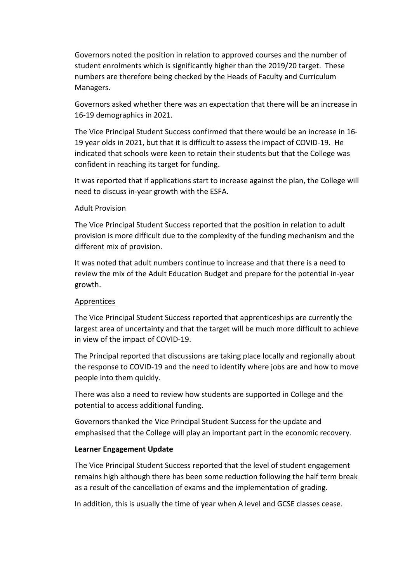Governors noted the position in relation to approved courses and the number of student enrolments which is significantly higher than the 2019/20 target. These numbers are therefore being checked by the Heads of Faculty and Curriculum Managers.

Governors asked whether there was an expectation that there will be an increase in 16-19 demographics in 2021.

The Vice Principal Student Success confirmed that there would be an increase in 16- 19 year olds in 2021, but that it is difficult to assess the impact of COVID-19. He indicated that schools were keen to retain their students but that the College was confident in reaching its target for funding.

It was reported that if applications start to increase against the plan, the College will need to discuss in-year growth with the ESFA.

### Adult Provision

The Vice Principal Student Success reported that the position in relation to adult provision is more difficult due to the complexity of the funding mechanism and the different mix of provision.

It was noted that adult numbers continue to increase and that there is a need to review the mix of the Adult Education Budget and prepare for the potential in-year growth.

## Apprentices

The Vice Principal Student Success reported that apprenticeships are currently the largest area of uncertainty and that the target will be much more difficult to achieve in view of the impact of COVID-19.

The Principal reported that discussions are taking place locally and regionally about the response to COVID-19 and the need to identify where jobs are and how to move people into them quickly.

There was also a need to review how students are supported in College and the potential to access additional funding.

Governors thanked the Vice Principal Student Success for the update and emphasised that the College will play an important part in the economic recovery.

### **Learner Engagement Update**

The Vice Principal Student Success reported that the level of student engagement remains high although there has been some reduction following the half term break as a result of the cancellation of exams and the implementation of grading.

In addition, this is usually the time of year when A level and GCSE classes cease.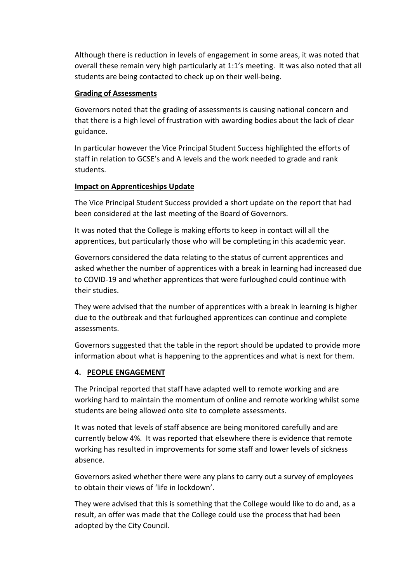Although there is reduction in levels of engagement in some areas, it was noted that overall these remain very high particularly at 1:1's meeting. It was also noted that all students are being contacted to check up on their well-being.

## **Grading of Assessments**

Governors noted that the grading of assessments is causing national concern and that there is a high level of frustration with awarding bodies about the lack of clear guidance.

In particular however the Vice Principal Student Success highlighted the efforts of staff in relation to GCSE's and A levels and the work needed to grade and rank students.

## **Impact on Apprenticeships Update**

The Vice Principal Student Success provided a short update on the report that had been considered at the last meeting of the Board of Governors.

It was noted that the College is making efforts to keep in contact will all the apprentices, but particularly those who will be completing in this academic year.

Governors considered the data relating to the status of current apprentices and asked whether the number of apprentices with a break in learning had increased due to COVID-19 and whether apprentices that were furloughed could continue with their studies.

They were advised that the number of apprentices with a break in learning is higher due to the outbreak and that furloughed apprentices can continue and complete assessments.

Governors suggested that the table in the report should be updated to provide more information about what is happening to the apprentices and what is next for them.

## **4. PEOPLE ENGAGEMENT**

The Principal reported that staff have adapted well to remote working and are working hard to maintain the momentum of online and remote working whilst some students are being allowed onto site to complete assessments.

It was noted that levels of staff absence are being monitored carefully and are currently below 4%. It was reported that elsewhere there is evidence that remote working has resulted in improvements for some staff and lower levels of sickness absence.

Governors asked whether there were any plans to carry out a survey of employees to obtain their views of 'life in lockdown'.

They were advised that this is something that the College would like to do and, as a result, an offer was made that the College could use the process that had been adopted by the City Council.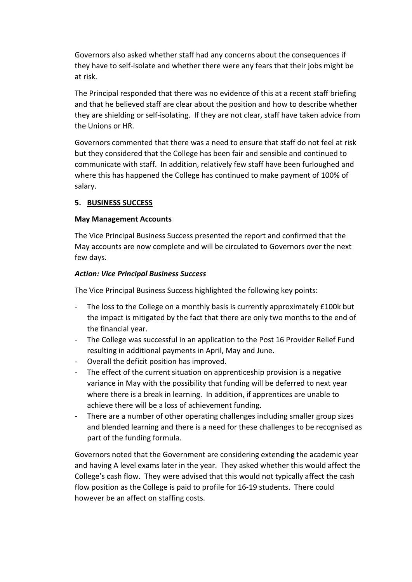Governors also asked whether staff had any concerns about the consequences if they have to self-isolate and whether there were any fears that their jobs might be at risk.

The Principal responded that there was no evidence of this at a recent staff briefing and that he believed staff are clear about the position and how to describe whether they are shielding or self-isolating. If they are not clear, staff have taken advice from the Unions or HR.

Governors commented that there was a need to ensure that staff do not feel at risk but they considered that the College has been fair and sensible and continued to communicate with staff. In addition, relatively few staff have been furloughed and where this has happened the College has continued to make payment of 100% of salary.

### **5. BUSINESS SUCCESS**

### **May Management Accounts**

The Vice Principal Business Success presented the report and confirmed that the May accounts are now complete and will be circulated to Governors over the next few days.

### *Action: Vice Principal Business Success*

The Vice Principal Business Success highlighted the following key points:

- The loss to the College on a monthly basis is currently approximately £100k but the impact is mitigated by the fact that there are only two months to the end of the financial year.
- The College was successful in an application to the Post 16 Provider Relief Fund resulting in additional payments in April, May and June.
- Overall the deficit position has improved.
- The effect of the current situation on apprenticeship provision is a negative variance in May with the possibility that funding will be deferred to next year where there is a break in learning. In addition, if apprentices are unable to achieve there will be a loss of achievement funding.
- There are a number of other operating challenges including smaller group sizes and blended learning and there is a need for these challenges to be recognised as part of the funding formula.

Governors noted that the Government are considering extending the academic year and having A level exams later in the year. They asked whether this would affect the College's cash flow. They were advised that this would not typically affect the cash flow position as the College is paid to profile for 16-19 students. There could however be an affect on staffing costs.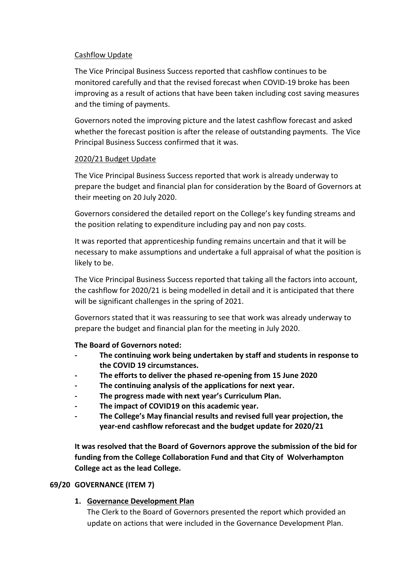### Cashflow Update

The Vice Principal Business Success reported that cashflow continues to be monitored carefully and that the revised forecast when COVID-19 broke has been improving as a result of actions that have been taken including cost saving measures and the timing of payments.

Governors noted the improving picture and the latest cashflow forecast and asked whether the forecast position is after the release of outstanding payments. The Vice Principal Business Success confirmed that it was.

### 2020/21 Budget Update

The Vice Principal Business Success reported that work is already underway to prepare the budget and financial plan for consideration by the Board of Governors at their meeting on 20 July 2020.

Governors considered the detailed report on the College's key funding streams and the position relating to expenditure including pay and non pay costs.

It was reported that apprenticeship funding remains uncertain and that it will be necessary to make assumptions and undertake a full appraisal of what the position is likely to be.

The Vice Principal Business Success reported that taking all the factors into account, the cashflow for 2020/21 is being modelled in detail and it is anticipated that there will be significant challenges in the spring of 2021.

Governors stated that it was reassuring to see that work was already underway to prepare the budget and financial plan for the meeting in July 2020.

## **The Board of Governors noted:**

- **- The continuing work being undertaken by staff and students in response to the COVID 19 circumstances.**
- **- The efforts to deliver the phased re-opening from 15 June 2020**
- **- The continuing analysis of the applications for next year.**
- **- The progress made with next year's Curriculum Plan.**
- **- The impact of COVID19 on this academic year.**
- **- The College's May financial results and revised full year projection, the year-end cashflow reforecast and the budget update for 2020/21**

**It was resolved that the Board of Governors approve the submission of the bid for funding from the College Collaboration Fund and that City of Wolverhampton College act as the lead College.**

## **69/20 GOVERNANCE (ITEM 7)**

## **1. Governance Development Plan**

The Clerk to the Board of Governors presented the report which provided an update on actions that were included in the Governance Development Plan.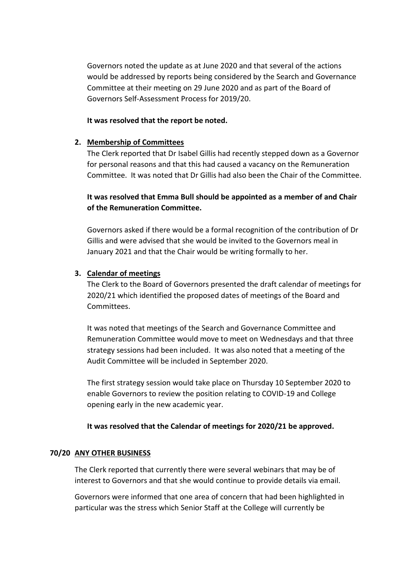Governors noted the update as at June 2020 and that several of the actions would be addressed by reports being considered by the Search and Governance Committee at their meeting on 29 June 2020 and as part of the Board of Governors Self-Assessment Process for 2019/20.

### **It was resolved that the report be noted.**

### **2. Membership of Committees**

The Clerk reported that Dr Isabel Gillis had recently stepped down as a Governor for personal reasons and that this had caused a vacancy on the Remuneration Committee. It was noted that Dr Gillis had also been the Chair of the Committee.

# **It was resolved that Emma Bull should be appointed as a member of and Chair of the Remuneration Committee.**

Governors asked if there would be a formal recognition of the contribution of Dr Gillis and were advised that she would be invited to the Governors meal in January 2021 and that the Chair would be writing formally to her.

## **3. Calendar of meetings**

The Clerk to the Board of Governors presented the draft calendar of meetings for 2020/21 which identified the proposed dates of meetings of the Board and Committees.

It was noted that meetings of the Search and Governance Committee and Remuneration Committee would move to meet on Wednesdays and that three strategy sessions had been included. It was also noted that a meeting of the Audit Committee will be included in September 2020.

The first strategy session would take place on Thursday 10 September 2020 to enable Governors to review the position relating to COVID-19 and College opening early in the new academic year.

## **It was resolved that the Calendar of meetings for 2020/21 be approved.**

## **70/20 ANY OTHER BUSINESS**

The Clerk reported that currently there were several webinars that may be of interest to Governors and that she would continue to provide details via email.

Governors were informed that one area of concern that had been highlighted in particular was the stress which Senior Staff at the College will currently be